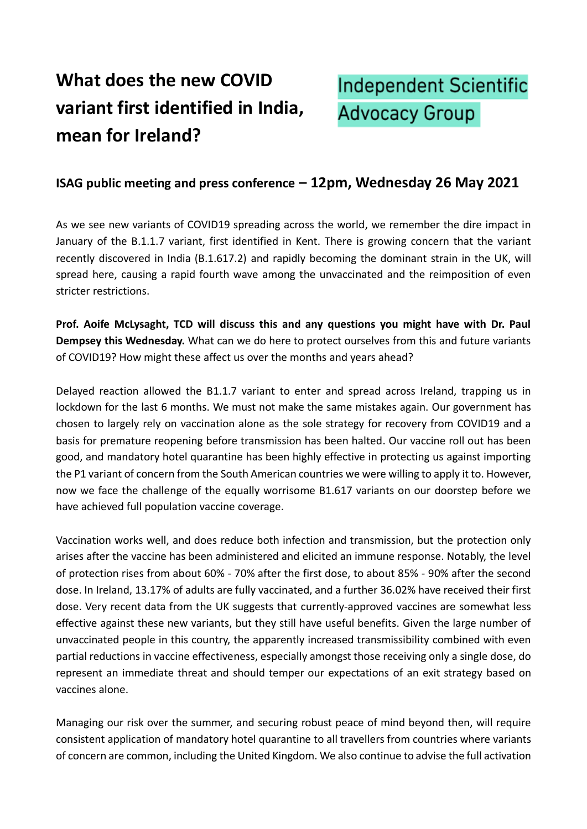## **What does the new COVID variant first identified in India, mean for Ireland?**

## **Independent Scientific Advocacy Group**

## **ISAG public meeting and press conference – 12pm, Wednesday 26 May 2021**

As we see new variants of COVID19 spreading across the world, we remember the dire impact in January of the B.1.1.7 variant, first identified in Kent. There is growing concern that the variant recently discovered in India (B.1.617.2) and rapidly becoming the dominant strain in the UK, will spread here, causing a rapid fourth wave among the unvaccinated and the reimposition of even stricter restrictions.

**Prof. Aoife McLysaght, TCD will discuss this and any questions you might have with Dr. Paul Dempsey this Wednesday.** What can we do here to protect ourselves from this and future variants of COVID19? How might these affect us over the months and years ahead?

Delayed reaction allowed the B1.1.7 variant to enter and spread across Ireland, trapping us in lockdown for the last 6 months. We must not make the same mistakes again. Our government has chosen to largely rely on vaccination alone as the sole strategy for recovery from COVID19 and a basis for premature reopening before transmission has been halted. Our vaccine roll out has been good, and mandatory hotel quarantine has been highly effective in protecting us against importing the P1 variant of concern from the South American countries we were willing to apply it to. However, now we face the challenge of the equally worrisome B1.617 variants on our doorstep before we have achieved full population vaccine coverage.

Vaccination works well, and does reduce both infection and transmission, but the protection only arises after the vaccine has been administered and elicited an immune response. Notably, the level of protection rises from about 60% - 70% after the first dose, to about 85% - 90% after the second dose. In Ireland, 13.17% of adults are fully vaccinated, and a further 36.02% have received their first dose. Very recent data from the UK suggests that currently-approved vaccines are somewhat less effective against these new variants, but they still have useful benefits. Given the large number of unvaccinated people in this country, the apparently increased transmissibility combined with even partial reductions in vaccine effectiveness, especially amongst those receiving only a single dose, do represent an immediate threat and should temper our expectations of an exit strategy based on vaccines alone.

Managing our risk over the summer, and securing robust peace of mind beyond then, will require consistent application of mandatory hotel quarantine to all travellers from countries where variants of concern are common, including the United Kingdom. We also continue to advise the full activation